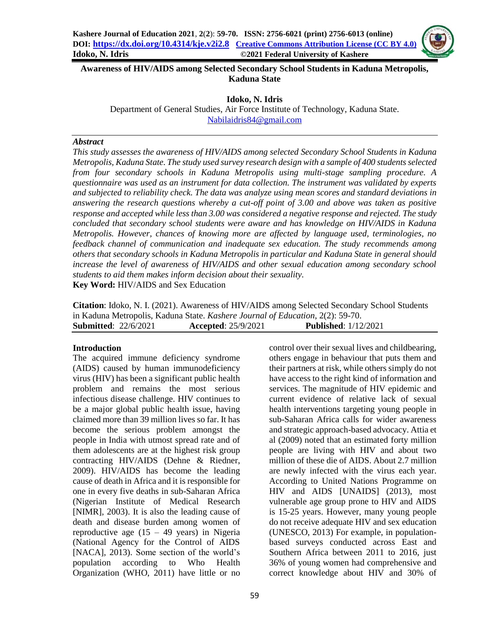**Awareness of HIV/AIDS among Selected Secondary School Students in Kaduna Metropolis, Kaduna State**

**Idoko, N. Idris**

Department of General Studies, Air Force Institute of Technology, Kaduna State. [Nabilaidris84@gmail.com](mailto:Nabilaidris84@gmail.com)

#### *Abstract*

*This study assesses the awareness of HIV/AIDS among selected Secondary School Students in Kaduna Metropolis, Kaduna State. The study used survey research design with a sample of 400 students selected from four secondary schools in Kaduna Metropolis using multi-stage sampling procedure. A questionnaire was used as an instrument for data collection. The instrument was validated by experts and subjected to reliability check. The data was analyze using mean scores and standard deviations in answering the research questions whereby a cut-off point of 3.00 and above was taken as positive response and accepted while less than 3.00 was considered a negative response and rejected. The study concluded that secondary school students were aware and has knowledge on HIV/AIDS in Kaduna Metropolis. However, chances of knowing more are affected by language used, terminologies, no feedback channel of communication and inadequate sex education. The study recommends among others that secondary schools in Kaduna Metropolis in particular and Kaduna State in general should increase the level of awareness of HIV/AIDS and other sexual education among secondary school students to aid them makes inform decision about their sexuality.*

**Key Word:** HIV/AIDS and Sex Education

**Citation**: Idoko, N. I. (2021). Awareness of HIV/AIDS among Selected Secondary School Students in Kaduna Metropolis, Kaduna State. *Kashere Journal of Education*, 2(2): 59-70. **Submitted**: 22/6/2021 **Accepted**: 25/9/2021 **Published**: 1/12/2021

#### **Introduction**

The acquired immune deficiency syndrome (AIDS) caused by human immunodeficiency virus (HIV) has been a significant public health problem and remains the most serious infectious disease challenge. HIV continues to be a major global public health issue, having claimed more than 39 million lives so far. It has become the serious problem amongst the people in India with utmost spread rate and of them adolescents are at the highest risk group contracting HIV/AIDS (Dehne & Riedner, 2009). HIV/AIDS has become the leading cause of death in Africa and it is responsible for one in every five deaths in sub-Saharan Africa (Nigerian Institute of Medical Research [NIMR], 2003). It is also the leading cause of death and disease burden among women of reproductive age  $(15 - 49 \text{ years})$  in Nigeria (National Agency for the Control of AIDS [NACA], 2013). Some section of the world's population according to Who Health Organization (WHO, 2011) have little or no

control over their sexual lives and childbearing, others engage in behaviour that puts them and their partners at risk, while others simply do not have access to the right kind of information and services. The magnitude of HIV epidemic and current evidence of relative lack of sexual health interventions targeting young people in sub-Saharan Africa calls for wider awareness and strategic approach-based advocacy. Attia et al (2009) noted that an estimated forty million people are living with HIV and about two million of these die of AIDS. About 2.7 million are newly infected with the virus each year. According to United Nations Programme on HIV and AIDS [UNAIDS] (2013), most vulnerable age group prone to HIV and AIDS is 15-25 years. However, many young people do not receive adequate HIV and sex education (UNESCO, 2013) For example, in populationbased surveys conducted across East and Southern Africa between 2011 to 2016, just 36% of young women had comprehensive and correct knowledge about HIV and 30% of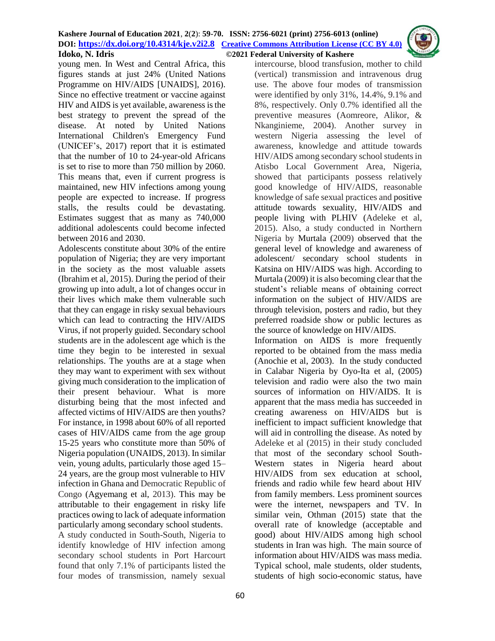young men. In West and Central Africa, this figures stands at just 24% (United Nations Programme on HIV/AIDS [UNAIDS], 2016). Since no effective treatment or vaccine against HIV and AIDS is yet available, awareness is the best strategy to prevent the spread of the disease. At noted by United Nations International Children's Emergency Fund (UNICEF's, 2017) report that it is estimated that the number of 10 to 24-year-old Africans is set to rise to more than 750 million by 2060. This means that, even if current progress is maintained, new HIV infections among young people are expected to increase. If progress stalls, the results could be devastating. Estimates suggest that as many as 740,000 additional adolescents could become infected between 2016 and 2030.

Adolescents constitute about 30% of the entire population of Nigeria; they are very important in the society as the most valuable assets (Ibrahim et al, 2015). During the period of their growing up into adult, a lot of changes occur in their lives which make them vulnerable such that they can engage in risky sexual behaviours which can lead to contracting the HIV/AIDS Virus, if not properly guided. Secondary school students are in the adolescent age which is the time they begin to be interested in sexual relationships. The youths are at a stage when they may want to experiment with sex without giving much consideration to the implication of their present behaviour. What is more disturbing being that the most infected and affected victims of HIV/AIDS are then youths? For instance, in 1998 about 60% of all reported cases of HIV/AIDS came from the age group 15-25 years who constitute more than 50% of Nigeria population (UNAIDS, 2013). In similar vein, young adults, particularly those aged 15– 24 years, are the group most vulnerable to HIV infection in Ghana and Democratic Republic of Congo (Agyemang et al, 2013). This may be attributable to their engagement in risky life practices owing to lack of adequate information particularly among secondary school students. A study conducted in South-South, Nigeria to identify knowledge of HIV infection among secondary school students in Port Harcourt found that only 7.1% of participants listed the

four modes of transmission, namely sexual

intercourse, blood transfusion, mother to child (vertical) transmission and intravenous drug use. The above four modes of transmission were identified by only 31%, 14.4%, 9.1% and 8%, respectively. Only 0.7% identified all the preventive measures (Aomreore, Alikor, & Nkanginieme, 2004). Another survey in western Nigeria assessing the level of awareness, knowledge and attitude towards HIV/AIDS among secondary school students in Atisbo Local Government Area, Nigeria, showed that participants possess relatively good knowledge of HIV/AIDS, reasonable knowledge of safe sexual practices and positive attitude towards sexuality, HIV/AIDS and people living with PLHIV (Adeleke et al, 2015). Also, a study conducted in Northern Nigeria by Murtala (2009) observed that the general level of knowledge and awareness of adolescent/ secondary school students in Katsina on HIV/AIDS was high. According to Murtala (2009) it is also becoming clear that the student's reliable means of obtaining correct information on the subject of HIV/AIDS are through television, posters and radio, but they preferred roadside show or public lectures as the source of knowledge on HIV/AIDS.

Information on AIDS is more frequently reported to be obtained from the mass media (Anochie et al, 2003). In the study conducted in Calabar Nigeria by Oyo-Ita et al, (2005) television and radio were also the two main sources of information on HIV/AIDS. It is apparent that the mass media has succeeded in creating awareness on HIV/AIDS but is inefficient to impact sufficient knowledge that will aid in controlling the disease. As noted by Adeleke et al (2015) in their study concluded that most of the secondary school South-Western states in Nigeria heard about HIV/AIDS from sex education at school, friends and radio while few heard about HIV from family members. Less prominent sources were the internet, newspapers and TV. In similar vein, Othman (2015) state that the overall rate of knowledge (acceptable and good) about HIV/AIDS among high school students in Iran was high. The main source of information about HIV/AIDS was mass media. Typical school, male students, older students, students of high socio-economic status, have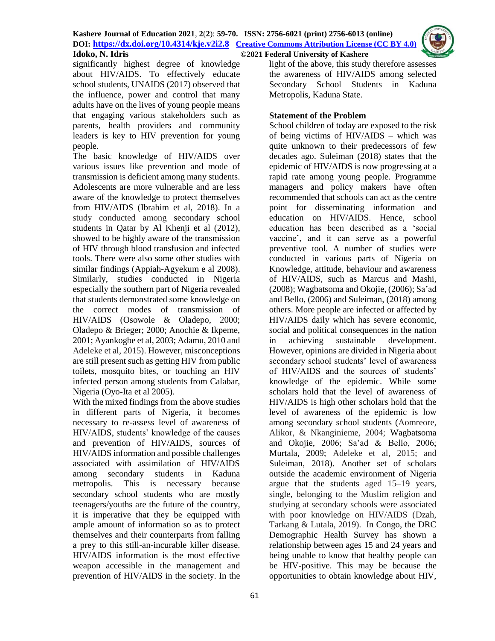

significantly highest degree of knowledge about HIV/AIDS. To effectively educate school students, UNAIDS (2017) observed that the influence, power and control that many adults have on the lives of young people means that engaging various stakeholders such as parents, health providers and community leaders is key to HIV prevention for young people.

The basic knowledge of HIV/AIDS over various issues like prevention and mode of transmission is deficient among many students. Adolescents are more vulnerable and are less aware of the knowledge to protect themselves from HIV/AIDS (Ibrahim et al, 2018). In a study conducted among secondary school students in Qatar by Al Khenji et al (2012), showed to be highly aware of the transmission of HIV through blood transfusion and infected tools. There were also some other studies with similar findings (Appiah-Agyekum e al 2008). Similarly, studies conducted in Nigeria especially the southern part of Nigeria revealed that students demonstrated some knowledge on the correct modes of transmission of HIV/AIDS (Osowole & Oladepo, 2000; Oladepo & Brieger; 2000; Anochie & Ikpeme, 2001; Ayankogbe et al, 2003; Adamu, 2010 and Adeleke et al, 2015). However, misconceptions are still present such as getting HIV from public toilets, mosquito bites, or touching an HIV infected person among students from Calabar, Nigeria (Oyo-Ita et al 2005).

With the mixed findings from the above studies in different parts of Nigeria, it becomes necessary to re-assess level of awareness of HIV/AIDS, students' knowledge of the causes and prevention of HIV/AIDS, sources of HIV/AIDS information and possible challenges associated with assimilation of HIV/AIDS among secondary students in Kaduna metropolis. This is necessary because secondary school students who are mostly teenagers/youths are the future of the country, it is imperative that they be equipped with ample amount of information so as to protect themselves and their counterparts from falling a prey to this still-an-incurable killer disease. HIV/AIDS information is the most effective weapon accessible in the management and prevention of HIV/AIDS in the society. In the

light of the above, this study therefore assesses the awareness of HIV/AIDS among selected Secondary School Students in Kaduna Metropolis, Kaduna State.

## **Statement of the Problem**

School children of today are exposed to the risk of being victims of HIV/AIDS – which was quite unknown to their predecessors of few decades ago. Suleiman (2018) states that the epidemic of HIV/AIDS is now progressing at a rapid rate among young people. Programme managers and policy makers have often recommended that schools can act as the centre point for disseminating information and education on HIV/AIDS. Hence, school education has been described as a 'social vaccine', and it can serve as a powerful preventive tool. A number of studies were conducted in various parts of Nigeria on Knowledge, attitude, behaviour and awareness of HIV/AIDS, such as Marcus and Mashi, (2008); Wagbatsoma and Okojie, (2006); Sa'ad and Bello, (2006) and Suleiman, (2018) among others. More people are infected or affected by HIV/AIDS daily which has severe economic, social and political consequences in the nation in achieving sustainable development. However, opinions are divided in Nigeria about secondary school students' level of awareness of HIV/AIDS and the sources of students' knowledge of the epidemic. While some scholars hold that the level of awareness of HIV/AIDS is high other scholars hold that the level of awareness of the epidemic is low among secondary school students (Aomreore, Alikor, & Nkanginieme, 2004; Wagbatsoma and Okojie, 2006; Sa'ad & Bello, 2006; Murtala, 2009; Adeleke et al, 2015; and Suleiman, 2018). Another set of scholars outside the academic environment of Nigeria argue that the students aged 15–19 years, single, belonging to the Muslim religion and studying at secondary schools were associated with poor knowledge on HIV/AIDS (Dzah, Tarkang & Lutala, 2019). In Congo, the DRC Demographic Health Survey has shown a relationship between ages 15 and 24 years and being unable to know that healthy people can be HIV-positive. This may be because the opportunities to obtain knowledge about HIV,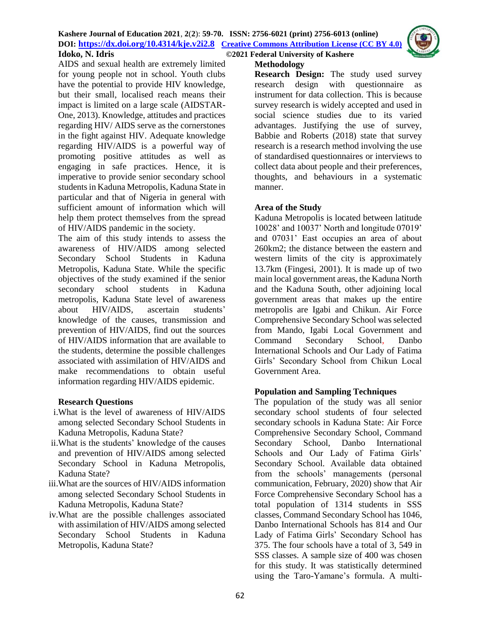

AIDS and sexual health are extremely limited for young people not in school. Youth clubs have the potential to provide HIV knowledge, but their small, localised reach means their impact is limited on a large scale (AIDSTAR-One, 2013). Knowledge, attitudes and practices regarding HIV/ AIDS serve as the cornerstones in the fight against HIV. Adequate knowledge regarding HIV/AIDS is a powerful way of promoting positive attitudes as well as engaging in safe practices. Hence, it is imperative to provide senior secondary school students in Kaduna Metropolis, Kaduna State in particular and that of Nigeria in general with sufficient amount of information which will help them protect themselves from the spread of HIV/AIDS pandemic in the society.

The aim of this study intends to assess the awareness of HIV/AIDS among selected Secondary School Students in Kaduna Metropolis, Kaduna State. While the specific objectives of the study examined if the senior secondary school students in Kaduna metropolis, Kaduna State level of awareness about HIV/AIDS, ascertain students' knowledge of the causes, transmission and prevention of HIV/AIDS, find out the sources of HIV/AIDS information that are available to the students, determine the possible challenges associated with assimilation of HIV/AIDS and make recommendations to obtain useful information regarding HIV/AIDS epidemic.

## **Research Questions**

- i.What is the level of awareness of HIV/AIDS among selected Secondary School Students in Kaduna Metropolis, Kaduna State?
- ii.What is the students' knowledge of the causes and prevention of HIV/AIDS among selected Secondary School in Kaduna Metropolis, Kaduna State?
- iii.What are the sources of HIV/AIDS information among selected Secondary School Students in Kaduna Metropolis, Kaduna State?
- iv.What are the possible challenges associated with assimilation of HIV/AIDS among selected Secondary School Students in Kaduna Metropolis, Kaduna State?

**Methodology**

**Research Design:** The study used survey research design with questionnaire as instrument for data collection. This is because survey research is widely accepted and used in social science studies due to its varied advantages. Justifying the use of survey, Babbie and Roberts (2018) state that survey research is a research method involving the use of standardised questionnaires or interviews to collect data about people and their preferences, thoughts, and behaviours in a systematic manner.

#### **Area of the Study**

Kaduna Metropolis is located between latitude 10028' and 10037' North and longitude 07019' and 07031' East occupies an area of about 260km2; the distance between the eastern and western limits of the city is approximately 13.7km (Fingesi, 2001). It is made up of two main local government areas, the Kaduna North and the Kaduna South, other adjoining local government areas that makes up the entire metropolis are Igabi and Chikun. Air Force Comprehensive Secondary School was selected from Mando, Igabi Local Government and Command Secondary School, Danbo International Schools and Our Lady of Fatima Girls' Secondary School from Chikun Local Government Area.

#### **Population and Sampling Techniques**

The population of the study was all senior secondary school students of four selected secondary schools in Kaduna State: Air Force Comprehensive Secondary School, Command Secondary School, Danbo International Schools and Our Lady of Fatima Girls' Secondary School. Available data obtained from the schools' managements (personal communication, February, 2020) show that Air Force Comprehensive Secondary School has a total population of 1314 students in SSS classes, Command Secondary School has 1046, Danbo International Schools has 814 and Our Lady of Fatima Girls' Secondary School has 375. The four schools have a total of 3, 549 in SSS classes. A sample size of 400 was chosen for this study. It was statistically determined using the Taro-Yamane's formula. A multi-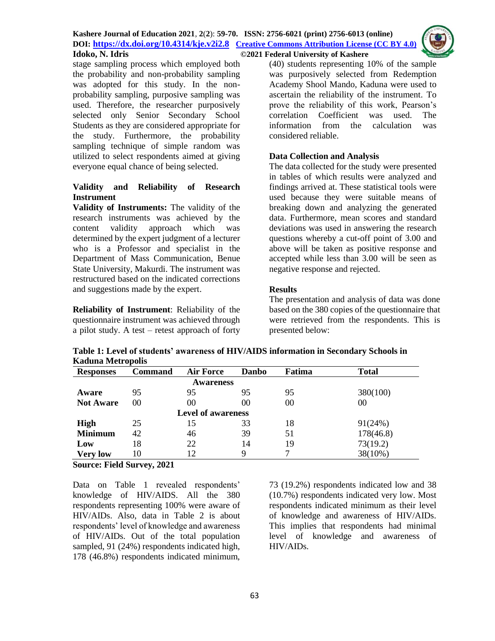

stage sampling process which employed both the probability and non-probability sampling was adopted for this study. In the nonprobability sampling, purposive sampling was used. Therefore, the researcher purposively selected only Senior Secondary School Students as they are considered appropriate for the study. Furthermore, the probability sampling technique of simple random was utilized to select respondents aimed at giving everyone equal chance of being selected.

## **Validity and Reliability of Research Instrument**

**Validity of Instruments:** The validity of the research instruments was achieved by the content validity approach which was content validity approach which was determined by the expert judgment of a lecturer who is a Professor and specialist in the Department of Mass Communication, Benue State University, Makurdi. The instrument was restructured based on the indicated corrections and suggestions made by the expert.

**Reliability of Instrument**: Reliability of the questionnaire instrument was achieved through a pilot study. A test – retest approach of forty (40) students representing 10% of the sample was purposively selected from Redemption Academy Shool Mando, Kaduna were used to ascertain the reliability of the instrument. To prove the reliability of this work, Pearson's correlation Coefficient was used. The information from the calculation was considered reliable.

## **Data Collection and Analysis**

The data collected for the study were presented in tables of which results were analyzed and findings arrived at. These statistical tools were used because they were suitable means of breaking down and analyzing the generated data. Furthermore, mean scores and standard deviations was used in answering the research questions whereby a cut-off point of 3.00 and above will be taken as positive response and accepted while less than 3.00 will be seen as negative response and rejected.

## **Results**

The presentation and analysis of data was done based on the 380 copies of the questionnaire that were retrieved from the respondents. This is presented below:

**Table 1: Level of students' awareness of HIV/AIDS information in Secondary Schools in Kaduna Metropolis** 

| <b>Responses</b>          | <b>Command</b> | Air Force | <b>Danbo</b> | Fatima | <b>Total</b> |  |  |  |  |
|---------------------------|----------------|-----------|--------------|--------|--------------|--|--|--|--|
| <b>Awareness</b>          |                |           |              |        |              |  |  |  |  |
| Aware                     | 95             | 95        | 95           | 95     | 380(100)     |  |  |  |  |
| <b>Not Aware</b>          | 00             | 00        | 00           | 00     | 00           |  |  |  |  |
| <b>Level of awareness</b> |                |           |              |        |              |  |  |  |  |
| <b>High</b>               | 25             | 15        | 33           | 18     | 91(24%)      |  |  |  |  |
| <b>Minimum</b>            | 42             | 46        | 39           | 51     | 178(46.8)    |  |  |  |  |
| Low                       | 18             | 22        | 14           | 19     | 73(19.2)     |  |  |  |  |
| <b>Very low</b>           | 10             | 12        | 9            |        | 38(10%)      |  |  |  |  |

**Source: Field Survey, 2021**

Data on Table 1 revealed respondents' knowledge of HIV/AIDS. All the 380 respondents representing 100% were aware of HIV/AIDs. Also, data in Table 2 is about respondents' level of knowledge and awareness of HIV/AIDs. Out of the total population sampled, 91 (24%) respondents indicated high, 178 (46.8%) respondents indicated minimum, 73 (19.2%) respondents indicated low and 38 (10.7%) respondents indicated very low. Most respondents indicated minimum as their level of knowledge and awareness of HIV/AIDs. This implies that respondents had minimal level of knowledge and awareness of HIV/AIDs.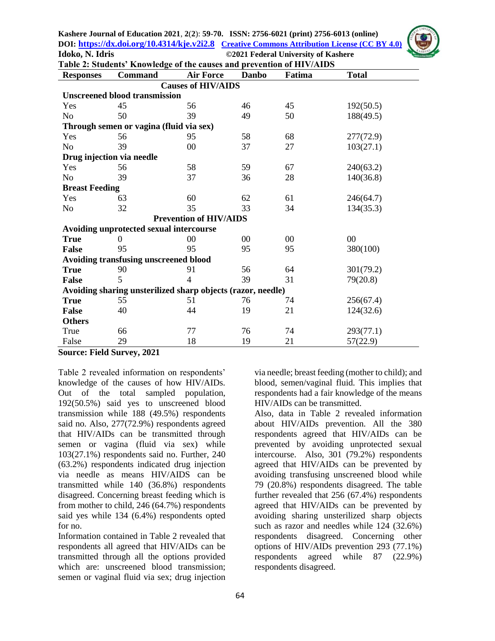**Kashere Journal of Education 2021**, **2**(**2**): **59-70. ISSN: 2756-6021 (print) 2756-6013 (online) DOI: <https://dx.doi.org/10.4314/kje.v2i2.8>[Creative Commons Attribution](http://creativecommons.org/licenses/by/4.0/) License (CC BY 4.0) Idoko, N. Idris ©2021 Federal University of Kashere**

| <b>INIVER</b>     |  |
|-------------------|--|
|                   |  |
|                   |  |
|                   |  |
| 2011              |  |
|                   |  |
| SHE               |  |
| by China' Citimet |  |

| 103(27.1)                                                                                           |  |  |  |  |  |  |  |  |
|-----------------------------------------------------------------------------------------------------|--|--|--|--|--|--|--|--|
|                                                                                                     |  |  |  |  |  |  |  |  |
|                                                                                                     |  |  |  |  |  |  |  |  |
|                                                                                                     |  |  |  |  |  |  |  |  |
|                                                                                                     |  |  |  |  |  |  |  |  |
|                                                                                                     |  |  |  |  |  |  |  |  |
|                                                                                                     |  |  |  |  |  |  |  |  |
|                                                                                                     |  |  |  |  |  |  |  |  |
|                                                                                                     |  |  |  |  |  |  |  |  |
|                                                                                                     |  |  |  |  |  |  |  |  |
|                                                                                                     |  |  |  |  |  |  |  |  |
|                                                                                                     |  |  |  |  |  |  |  |  |
|                                                                                                     |  |  |  |  |  |  |  |  |
|                                                                                                     |  |  |  |  |  |  |  |  |
| 31<br>39<br>79(20.8)<br><b>False</b><br>Avoiding sharing unsterilized sharp objects (razor, needle) |  |  |  |  |  |  |  |  |
|                                                                                                     |  |  |  |  |  |  |  |  |
| 124(32.6)                                                                                           |  |  |  |  |  |  |  |  |
|                                                                                                     |  |  |  |  |  |  |  |  |
|                                                                                                     |  |  |  |  |  |  |  |  |
|                                                                                                     |  |  |  |  |  |  |  |  |
|                                                                                                     |  |  |  |  |  |  |  |  |

**Source: Field Survey, 2021**

Table 2 revealed information on respondents' knowledge of the causes of how HIV/AIDs. Out of the total sampled population, 192(50.5%) said yes to unscreened blood transmission while 188 (49.5%) respondents said no. Also, 277(72.9%) respondents agreed that HIV/AIDs can be transmitted through semen or vagina (fluid via sex) while 103(27.1%) respondents said no. Further, 240 (63.2%) respondents indicated drug injection via needle as means HIV/AIDS can be transmitted while 140 (36.8%) respondents disagreed. Concerning breast feeding which is from mother to child, 246 (64.7%) respondents said yes while 134 (6.4%) respondents opted for no.

Information contained in Table 2 revealed that respondents all agreed that HIV/AIDs can be transmitted through all the options provided which are: unscreened blood transmission; semen or vaginal fluid via sex; drug injection

via needle; breast feeding (mother to child); and blood, semen/vaginal fluid. This implies that respondents had a fair knowledge of the means HIV/AIDs can be transmitted.

Also, data in Table 2 revealed information about HIV/AIDs prevention. All the 380 respondents agreed that HIV/AIDs can be prevented by avoiding unprotected sexual intercourse. Also, 301 (79.2%) respondents agreed that HIV/AIDs can be prevented by avoiding transfusing unscreened blood while 79 (20.8%) respondents disagreed. The table further revealed that 256 (67.4%) respondents agreed that HIV/AIDs can be prevented by avoiding sharing unsterilized sharp objects such as razor and needles while 124 (32.6%) respondents disagreed. Concerning other options of HIV/AIDs prevention 293 (77.1%) respondents agreed while 87 (22.9%) respondents disagreed.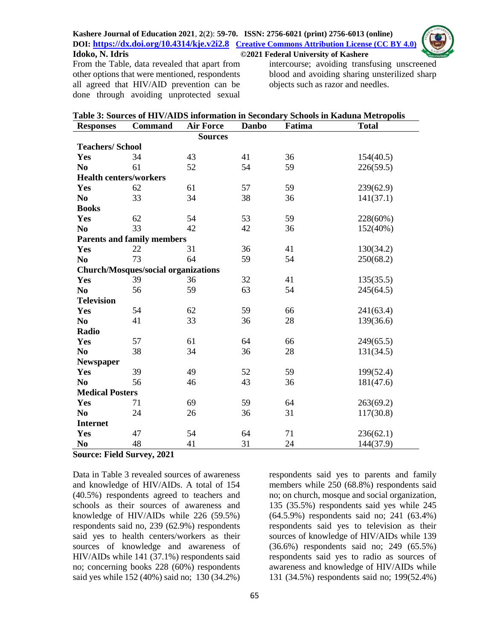

From the Table, data revealed that apart from other options that were mentioned, respondents all agreed that HIV/AID prevention can be done through avoiding unprotected sexual

intercourse; avoiding transfusing unscreened blood and avoiding sharing unsterilized sharp objects such as razor and needles.

| Table 3: Sources of HIV/AIDS information in Secondary Schools in Kaduna Metropolis |                                            |                                  |    |        |              |  |  |
|------------------------------------------------------------------------------------|--------------------------------------------|----------------------------------|----|--------|--------------|--|--|
| <b>Responses</b>                                                                   | <b>Command</b>                             | <b>Air Force</b><br><b>Danbo</b> |    | Fatima | <b>Total</b> |  |  |
|                                                                                    |                                            | <b>Sources</b>                   |    |        |              |  |  |
| <b>Teachers/School</b>                                                             |                                            |                                  |    |        |              |  |  |
| Yes                                                                                | 34                                         | 43                               | 41 | 36     | 154(40.5)    |  |  |
| N <sub>0</sub>                                                                     | 61                                         | 52                               | 54 | 59     | 226(59.5)    |  |  |
| <b>Health centers/workers</b>                                                      |                                            |                                  |    |        |              |  |  |
| Yes                                                                                | 62                                         | 61                               | 57 | 59     | 239(62.9)    |  |  |
| N <sub>0</sub>                                                                     | 33                                         | 34                               | 38 | 36     | 141(37.1)    |  |  |
| <b>Books</b>                                                                       |                                            |                                  |    |        |              |  |  |
| Yes                                                                                | 62                                         | 54                               | 53 | 59     | 228(60%)     |  |  |
| N <sub>0</sub>                                                                     | 33                                         | 42                               | 42 | 36     | 152(40%)     |  |  |
|                                                                                    | <b>Parents and family members</b>          |                                  |    |        |              |  |  |
| Yes                                                                                | 22                                         | 31                               | 36 | 41     | 130(34.2)    |  |  |
| N <sub>0</sub>                                                                     | 73                                         | 64                               | 59 | 54     | 250(68.2)    |  |  |
|                                                                                    | <b>Church/Mosques/social organizations</b> |                                  |    |        |              |  |  |
| Yes                                                                                | 39                                         | 36                               | 32 | 41     | 135(35.5)    |  |  |
| N <sub>0</sub>                                                                     | 56                                         | 59                               | 63 | 54     | 245(64.5)    |  |  |
| <b>Television</b>                                                                  |                                            |                                  |    |        |              |  |  |
| Yes                                                                                | 54                                         | 62                               | 59 | 66     | 241(63.4)    |  |  |
| N <sub>0</sub>                                                                     | 41                                         | 33                               | 36 | 28     | 139(36.6)    |  |  |
| Radio                                                                              |                                            |                                  |    |        |              |  |  |
| Yes                                                                                | 57                                         | 61                               | 64 | 66     | 249(65.5)    |  |  |
| N <sub>0</sub>                                                                     | 38                                         | 34                               | 36 | 28     | 131(34.5)    |  |  |
| Newspaper                                                                          |                                            |                                  |    |        |              |  |  |
| Yes                                                                                | 39                                         | 49                               | 52 | 59     | 199(52.4)    |  |  |
| N <sub>0</sub>                                                                     | 56                                         | 46                               | 43 | 36     | 181(47.6)    |  |  |
| <b>Medical Posters</b>                                                             |                                            |                                  |    |        |              |  |  |
| Yes                                                                                | 71                                         | 69                               | 59 | 64     | 263(69.2)    |  |  |
| N <sub>0</sub>                                                                     | 24                                         | 26                               | 36 | 31     | 117(30.8)    |  |  |
| <b>Internet</b>                                                                    |                                            |                                  |    |        |              |  |  |
| Yes                                                                                | 47                                         | 54                               | 64 | 71     | 236(62.1)    |  |  |
| N <sub>0</sub>                                                                     | 48                                         | 41                               | 31 | 24     | 144(37.9)    |  |  |

#### **Source: Field Survey, 2021**

Data in Table 3 revealed sources of awareness and knowledge of HIV/AIDs. A total of 154 (40.5%) respondents agreed to teachers and schools as their sources of awareness and knowledge of HIV/AIDs while 226 (59.5%) respondents said no, 239 (62.9%) respondents said yes to health centers/workers as their sources of knowledge and awareness of HIV/AIDs while 141 (37.1%) respondents said no; concerning books 228 (60%) respondents said yes while 152 (40%) said no; 130 (34.2%)

respondents said yes to parents and family members while 250 (68.8%) respondents said no; on church, mosque and social organization, 135 (35.5%) respondents said yes while 245 (64.5.9%) respondents said no; 241 (63.4%) respondents said yes to television as their sources of knowledge of HIV/AIDs while 139 (36.6%) respondents said no; 249 (65.5%) respondents said yes to radio as sources of awareness and knowledge of HIV/AIDs while 131 (34.5%) respondents said no; 199(52.4%)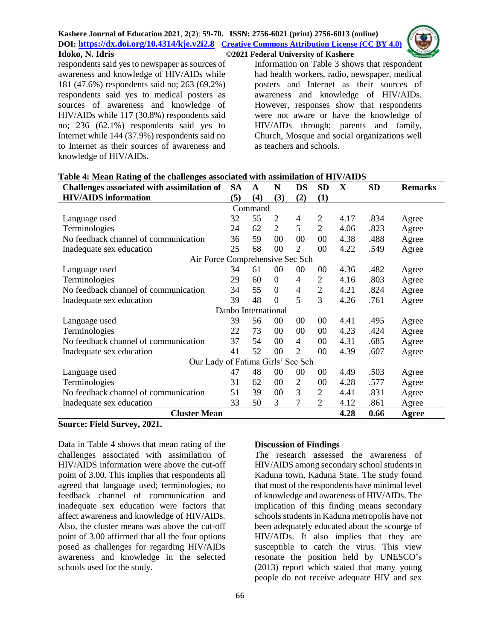

 $\overline{\mathbf{D}}$  and  $\overline{\mathbf{D}}$ 

respondents said yes to newspaper as sources of awareness and knowledge of HIV/AIDs while 181 (47.6%) respondents said no; 263 (69.2%) respondents said yes to medical posters as sources of awareness and knowledge of HIV/AIDs while 117 (30.8%) respondents said no; 236 (62.1%) respondents said yes to Internet while 144 (37.9%) respondents said no to Internet as their sources of awareness and knowledge of HIV/AIDs.

Information on Table 3 shows that respondent had health workers, radio, newspaper, medical posters and Internet as their sources of awareness and knowledge of HIV/AIDs. However, responses show that respondents were not aware or have the knowledge of HIV/AIDs through; parents and family, Church, Mosque and social organizations well as teachers and schools.

| Table 4: Mean Kathle of the chanenges associated with assimilation of HTV/AIDS |  |  |  |     |
|--------------------------------------------------------------------------------|--|--|--|-----|
| Challenges associated with assimilation of SA A N DS SD X                      |  |  |  | -SD |

**Table 4: Mean Rating of the challenges associated with assimilation of HIV/AIDS**

| Chanenges associated with assimilation of |                     | A   | 1N             | DJ.            | עט             | $\boldsymbol{\Lambda}$ | ðν   | Remarks |  |
|-------------------------------------------|---------------------|-----|----------------|----------------|----------------|------------------------|------|---------|--|
| <b>HIV/AIDS</b> information               |                     | (4) | (3)            | (2)            | (1)            |                        |      |         |  |
| Command                                   |                     |     |                |                |                |                        |      |         |  |
| Language used                             | 32                  | 55  | 2              | 4              | $\overline{2}$ | 4.17                   | .834 | Agree   |  |
| Terminologies                             | 24                  | 62  | 2              | 5              | $\overline{2}$ | 4.06                   | .823 | Agree   |  |
| No feedback channel of communication      | 36                  | 59  | 00             | 00             | 00             | 4.38                   | .488 | Agree   |  |
| Inadequate sex education                  | 25                  | 68  | 00             | $\overline{2}$ | $00\,$         | 4.22                   | .549 | Agree   |  |
| Air Force Comprehensive Sec Sch           |                     |     |                |                |                |                        |      |         |  |
| Language used                             | 34                  | 61  | $00\,$         | 00             | 00             | 4.36                   | .482 | Agree   |  |
| Terminologies                             | 29                  | 60  | $\overline{0}$ | 4              | $\overline{2}$ | 4.16                   | .803 | Agree   |  |
| No feedback channel of communication      |                     | 55  | $\theta$       | $\overline{4}$ | $\overline{2}$ | 4.21                   | .824 | Agree   |  |
| Inadequate sex education                  | 39                  | 48  | $\theta$       | 5              | 3              | 4.26                   | .761 | Agree   |  |
|                                           | Danbo International |     |                |                |                |                        |      |         |  |
| Language used                             | 39                  | 56  | $00\,$         | $00\,$         | $00\,$         | 4.41                   | .495 | Agree   |  |
| Terminologies                             | 22                  | 73  | $00\,$         | 00             | 00             | 4.23                   | .424 | Agree   |  |
| No feedback channel of communication      | 37                  | 54  | 00             | $\overline{4}$ | $00\,$         | 4.31                   | .685 | Agree   |  |
| Inadequate sex education                  | 41                  | 52  | 00             | $\overline{c}$ | 00             | 4.39                   | .607 | Agree   |  |
| Our Lady of Fatima Girls' Sec Sch         |                     |     |                |                |                |                        |      |         |  |
| Language used                             | 47                  | 48  | 00             | 00             | $00\,$         | 4.49                   | .503 | Agree   |  |
| Terminologies                             | 31                  | 62  | 00             | $\overline{2}$ | 00             | 4.28                   | .577 | Agree   |  |
| No feedback channel of communication      | 51                  | 39  | 00             | 3              | $\overline{2}$ | 4.41                   | .831 | Agree   |  |
| Inadequate sex education                  |                     | 50  | 3              | $\tau$         | $\overline{2}$ | 4.12                   | .861 | Agree   |  |
| <b>Cluster Mean</b>                       |                     |     |                |                |                | 4.28                   | 0.66 | Agree   |  |

#### **Source: Field Survey, 2021.**

Data in Table 4 shows that mean rating of the challenges associated with assimilation of HIV/AIDS information were above the cut-off point of 3.00. This implies that respondents all agreed that language used; terminologies, no feedback channel of communication and inadequate sex education were factors that affect awareness and knowledge of HIV/AIDs. Also, the cluster means was above the cut-off point of 3.00 affirmed that all the four options posed as challenges for regarding HIV/AIDs awareness and knowledge in the selected schools used for the study.

## **Discussion of Findings**

The research assessed the awareness of HIV/AIDS among secondary school students in Kaduna town, Kaduna State. The study found that most of the respondents have minimal level of knowledge and awareness of HIV/AIDs. The implication of this finding means secondary schools students in Kaduna metropolis have not been adequately educated about the scourge of HIV/AIDs. It also implies that they are susceptible to catch the virus. This view resonate the position held by UNESCO's (2013) report which stated that many young people do not receive adequate HIV and sex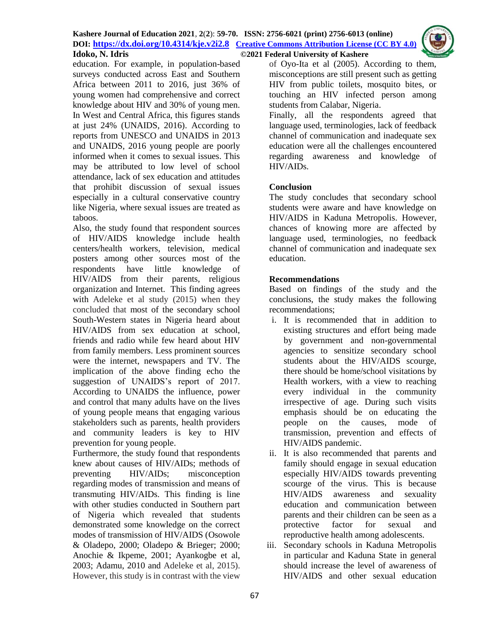

education. For example, in population-based surveys conducted across East and Southern Africa between 2011 to 2016, just 36% of young women had comprehensive and correct knowledge about HIV and 30% of young men. In West and Central Africa, this figures stands at just 24% (UNAIDS, 2016). According to reports from UNESCO and UNAIDS in 2013 and UNAIDS, 2016 young people are poorly informed when it comes to sexual issues. This may be attributed to low level of school attendance, lack of sex education and attitudes that prohibit discussion of sexual issues especially in a cultural conservative country like Nigeria, where sexual issues are treated as taboos.

Also, the study found that respondent sources of HIV/AIDS knowledge include health centers/health workers, television, medical posters among other sources most of the respondents have little knowledge of HIV/AIDS from their parents, religious organization and Internet. This finding agrees with Adeleke et al study (2015) when they concluded that most of the secondary school South-Western states in Nigeria heard about HIV/AIDS from sex education at school, friends and radio while few heard about HIV from family members. Less prominent sources were the internet, newspapers and TV. The implication of the above finding echo the suggestion of UNAIDS's report of 2017. According to UNAIDS the influence, power and control that many adults have on the lives of young people means that engaging various stakeholders such as parents, health providers and community leaders is key to HIV prevention for young people.

Furthermore, the study found that respondents knew about causes of HIV/AIDs; methods of preventing HIV/AIDs; misconception regarding modes of transmission and means of transmuting HIV/AIDs. This finding is line with other studies conducted in Southern part of Nigeria which revealed that students demonstrated some knowledge on the correct modes of transmission of HIV/AIDS (Osowole & Oladepo, 2000; Oladepo & Brieger; 2000; Anochie & Ikpeme, 2001; Ayankogbe et al, 2003; Adamu, 2010 and Adeleke et al, 2015). However, this study is in contrast with the view

of Oyo-Ita et al (2005). According to them, misconceptions are still present such as getting HIV from public toilets, mosquito bites, or touching an HIV infected person among students from Calabar, Nigeria.

Finally, all the respondents agreed that language used, terminologies, lack of feedback channel of communication and inadequate sex education were all the challenges encountered regarding awareness and knowledge of HIV/AIDs.

# **Conclusion**

The study concludes that secondary school students were aware and have knowledge on HIV/AIDS in Kaduna Metropolis. However, chances of knowing more are affected by language used, terminologies, no feedback channel of communication and inadequate sex education.

# **Recommendations**

Based on findings of the study and the conclusions, the study makes the following recommendations;

- i. It is recommended that in addition to existing structures and effort being made by government and non-governmental agencies to sensitize secondary school students about the HIV/AIDS scourge, there should be home/school visitations by Health workers, with a view to reaching every individual in the community irrespective of age. During such visits emphasis should be on educating the people on the causes, mode of transmission, prevention and effects of HIV/AIDS pandemic.
- ii. It is also recommended that parents and family should engage in sexual education especially HIV/AIDS towards preventing scourge of the virus. This is because HIV/AIDS awareness and sexuality education and communication between parents and their children can be seen as a protective factor for sexual and reproductive health among adolescents.
- iii. Secondary schools in Kaduna Metropolis in particular and Kaduna State in general should increase the level of awareness of HIV/AIDS and other sexual education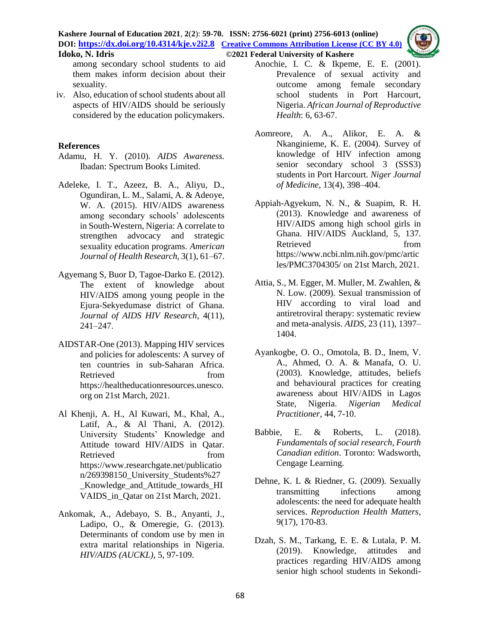among secondary school students to aid them makes inform decision about their sexuality.

iv. Also, education of school students about all aspects of HIV/AIDS should be seriously considered by the education policymakers.

## **References**

- Adamu, H. Y. (2010). *AIDS Awareness.*  Ibadan: Spectrum Books Limited.
- Adeleke, I. T., Azeez, B. A., Aliyu, D., Ogundiran, L. M., Salami, A. & Adeoye, W. A. (2015). HIV/AIDS awareness among secondary schools' adolescents in South-Western, Nigeria: A correlate to strengthen advocacy and strategic sexuality education programs. *American Journal of Health Research,* 3(1), 61–67.
- Agyemang S, Buor D, Tagoe-Darko E. (2012). The extent of knowledge about HIV/AIDS among young people in the Ejura-Sekyedumase district of Ghana. *Journal of AIDS HIV Research*, 4(11), 241–247.
- AIDSTAR-One (2013). Mapping HIV services and policies for adolescents: A survey of ten countries in sub-Saharan Africa. Retrieved from [https://healtheducationresources.unesco.](https://healtheducationresources.unesco.org/library/documents/mapping-hiv-services-and-policies-adolescents-survey-ten-countries-sub-saharan) [org](https://healtheducationresources.unesco.org/library/documents/mapping-hiv-services-and-policies-adolescents-survey-ten-countries-sub-saharan) on 21st March, 2021.
- Al Khenji, A. H., Al Kuwari, M., Khal, A., Latif, A., & Al Thani, A. (2012). University Students' Knowledge and Attitude toward HIV/AIDS in Qatar. Retrieved from [https://www.researchgate.net/publicatio](https://www.researchgate.net/publication/269398150_University_Students%27_Knowledge_and_Attitude_towards_HIVAIDS_in_Qatar) [n/269398150\\_University\\_Students%27](https://www.researchgate.net/publication/269398150_University_Students%27_Knowledge_and_Attitude_towards_HIVAIDS_in_Qatar) [\\_Knowledge\\_and\\_Attitude\\_towards\\_HI](https://www.researchgate.net/publication/269398150_University_Students%27_Knowledge_and_Attitude_towards_HIVAIDS_in_Qatar) [VAIDS\\_in\\_Qatar](https://www.researchgate.net/publication/269398150_University_Students%27_Knowledge_and_Attitude_towards_HIVAIDS_in_Qatar) on 21st March, 2021.
- Ankomak, A., Adebayo, S. B., Anyanti, J., Ladipo, O., & Omeregie, G. (2013). Determinants of condom use by men in extra marital relationships in Nigeria. *HIV/AIDS (AUCKL)*, 5, 97-109.
- Anochie, I. C. & Ikpeme, E. E. (2001). Prevalence of sexual activity and outcome among female secondary school students in Port Harcourt, Nigeria. *African Journal of Reproductive Health*: 6, 63-67.
- Aomreore, A. A., Alikor, E. A. & Nkanginieme, K. E. (2004). Survey of knowledge of HIV infection among senior secondary school 3 (SSS3) students in Port Harcourt. *Niger Journal of Medicine*, 13(4), 398–404.
- Appiah-Agyekum, N. N., & Suapim, R. H. (2013). Knowledge and awareness of HIV/AIDS among high school girls in Ghana. HIV/AIDS Auckland, 5, 137. Retrieved from from [https://www.ncbi.nlm.nih.gov/pmc/artic](https://www.ncbi.nlm.nih.gov/pmc/articles/PMC3704305/) [les/PMC3704305/](https://www.ncbi.nlm.nih.gov/pmc/articles/PMC3704305/) on 21st March, 2021.
- Attia, S., M. Egger, M. Muller, M. Zwahlen, & N. Low. (2009). Sexual transmission of HIV according to viral load and antiretroviral therapy: systematic review and meta-analysis. *AIDS*, 23 (11), 1397– 1404.
- Ayankogbe, O. O., Omotola, B. D., Inem, V. A., Ahmed, O. A. & Manafa, O. U. (2003). Knowledge, attitudes, beliefs and behavioural practices for creating awareness about HIV/AIDS in Lagos State, Nigeria. *Nigerian Medical Practitioner*, 44, 7-10.
- Babbie, E. & Roberts, L. (2018). *Fundamentals of social research, Fourth Canadian edition*. Toronto: Wadsworth, Cengage Learning.
- Dehne, K. L & Riedner, G. (2009). Sexually transmitting infections among adolescents: the need for adequate health services. *Reproduction Health Matters*, 9(17), 170-83.
- Dzah, S. M., Tarkang, E. E. & Lutala, P. M. (2019). Knowledge, attitudes and practices regarding HIV/AIDS among senior high school students in Sekondi-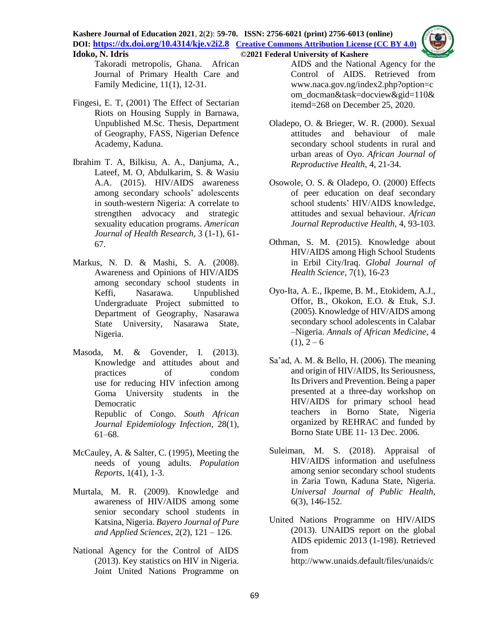

Takoradi metropolis, Ghana. African Journal of Primary Health Care and Family Medicine, 11(1), 12-31.

- Fingesi, E. T, (2001) The Effect of Sectarian Riots on Housing Supply in Barnawa, Unpublished M.Sc. Thesis, Department of Geography, FASS, Nigerian Defence Academy, Kaduna.
- Ibrahim T. A, Bilkisu, A. A., Danjuma, A., Lateef, M. O, Abdulkarim, S. & Wasiu A.A. (2015). HIV/AIDS awareness among secondary schools' adolescents in south-western Nigeria: A correlate to strengthen advocacy and strategic sexuality education programs. *American Journal of Health Research*, 3 (1-1), 61- 67.
- Markus, N. D. & Mashi, S. A. (2008). Awareness and Opinions of HIV/AIDS among secondary school students in Keffi, Nasarawa. Unpublished Undergraduate Project submitted to Department of Geography, Nasarawa State University, Nasarawa State, Nigeria.
- Masoda, M. & Govender, I. (2013). Knowledge and attitudes about and practices of condom use for reducing HIV infection among Goma University students in the Democratic Republic of Congo. *South African Journal Epidemiology Infection*, 28(1), 61–68.
- McCauley, A. & Salter, C. (1995), Meeting the needs of young adults. *Population Reports*, 1(41), 1-3.
- Murtala, M. R. (2009). Knowledge and awareness of HIV/AIDS among some senior secondary school students in Katsina, Nigeria. *Bayero Journal of Pure and Applied Sciences*, 2(2), 121 – 126.
- National Agency for the Control of AIDS (2013). Key statistics on HIV in Nigeria. Joint United Nations Programme on

AIDS and the National Agency for the Control of AIDS. Retrieved from www.naca.gov.ng/index2.php?option=c om\_docman&task=docview&gid=110& itemd=268 on December 25, 2020.

- Oladepo, O. & Brieger, W. R. (2000). Sexual attitudes and behaviour of male secondary school students in rural and urban areas of Oyo. *African Journal of Reproductive Health*, 4, 21-34.
- Osowole, O. S. & Oladepo, O. (2000) Effects of peer education on deaf secondary school students' HIV/AIDS knowledge, attitudes and sexual behaviour. *African Journal Reproductive Health*, 4, 93-103.
- Othman, S. M. (2015). Knowledge about HIV/AIDS among High School Students in Erbil City/Iraq. *Global Journal of Health Science*, 7(1), 16-23
- Oyo-Ita, A. E., Ikpeme, B. M., Etokidem, A.J., Offor, B., Okokon, E.O. & Etuk, S.J. (2005). Knowledge of HIV/AIDS among secondary school adolescents in Calabar –Nigeria. *Annals of African Medicine*, 4  $(1), 2 - 6$
- Sa'ad, A. M. & Bello, H. (2006). The meaning and origin of HIV/AIDS, Its Seriousness, Its Drivers and Prevention. Being a paper presented at a three-day workshop on HIV/AIDS for primary school head teachers in Borno State, Nigeria organized by REHRAC and funded by Borno State UBE 11- 13 Dec. 2006.
- Suleiman, M. S. (2018). Appraisal of HIV/AIDS information and usefulness among senior secondary school students in Zaria Town, Kaduna State, Nigeria. *Universal Journal of Public Health*, 6(3), 146-152.
- United Nations Programme on HIV/AIDS (2013). UNAIDS report on the global AIDS epidemic 2013 (1-198). Retrieved from [http://www.unaids.default/files/unaids/c](http://www.unaids.default/files/unaids/contentassets/epidemiology/2013/g)